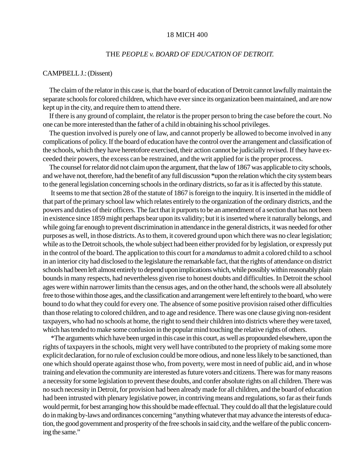## 18 MICH 400

## THE *PEOPLE v. BOARD OF EDUCATION OF DETROIT.*

## CAMPBELL J.: (Dissent)

The claim of the relator in this case is, that the board of education of Detroit cannot lawfully maintain the separate schools for colored children, which have ever since its organization been maintained, and are now kept up in the city, and require them to attend there.

If there is any ground of complaint, the relator is the proper person to bring the case before the court. No one can be more interested than the father of a child in obtaining his school privileges.

The question involved is purely one of law, and cannot properly be allowed to become involved in any complications of policy. If the board of education have the control over the arrangement and classification of the schools, which they have heretofore exercised, their action cannot be judicially revised. If they have exceeded their powers, the excess can be restrained, and the writ applied for is the proper process.

The counsel for relator did not claim upon the argument, that the law of 1867 was applicable to city schools, and we have not, therefore, had the benefit of any full discussion \*upon the relation which the city system bears to the general legislation concerning schools in the ordinary districts, so far as it is affected by this statute.

It seems to me that section 28 of the statute of 1867 is foreign to the inquiry. It is inserted in the middle of that part of the primary school law which relates entirely to the organization of the ordinary districts, and the powers and duties of their officers. The fact that it purports to be an amendment of a section that has not been in existence since 1859 might perhaps bear upon its validity; but it is inserted where it naturally belongs, and while going far enough to prevent discrimination in attendance in the general districts, it was needed for other purposes as well, in those districts. As to them, it covered ground upon which there was no clear legislation; while as to the Detroit schools, the whole subject had been either provided for by legislation, or expressly put in the control of the board. The application to this court for a *mandamus* to admit a colored child to a school in an interior city had disclosed to the legislature the remarkable fact, that the rights of attendance on district schools had been left almost entirely to depend upon implications which, while possibly within reasonably plain bounds in many respects, had nevertheless given rise to honest doubts and difficulties. In Detroit the school ages were within narrower limits than the census ages, and on the other hand, the schools were all absolutely free to those within those ages, and the classification and arrangement were left entirely to the board, who were bound to do what they could for every one. The absence of some positive provision raised other difficulties than those relating to colored children, and to age and residence. There was one clause giving non-resident taxpayers, who had no schools at home, the right to send their children into districts where they were taxed, which has tended to make some confusion in the popular mind touching the relative rights of others.

\*The arguments which have been urged in this case in this court, as well as propounded elsewhere, upon the rights of taxpayers in the schools, might very well have contributed to the propriety of making some more explicit declaration, for no rule of exclusion could be more odious, and none less likely to be sanctioned, than one which should operate against those who, from poverty, were most in need of public aid, and in whose training and elevation the community are interested as future voters and citizens. There was for many reasons a necessity for some legislation to prevent these doubts, and confer absolute rights on all children. There was no such necessity in Detroit, for provision had been already made for all children, and the board of education had been intrusted with plenary legislative power, in contriving means and regulations, so far as their funds would permit, for best arranging how this should be made effectual. They could do all that the legislature could do in making by-laws and ordinances concerning "anything whatever that may advance the interests of education, the good government and prosperity of the free schools in said city, and the welfare of the public concerning the same."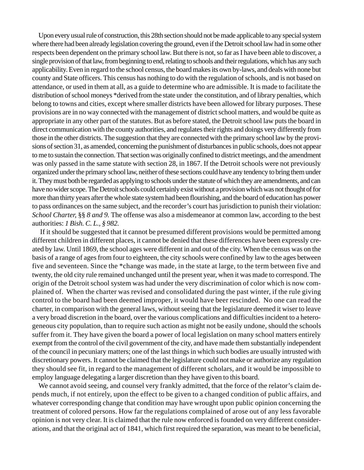Upon every usual rule of construction, this 28th section should not be made applicable to any special system where there had been already legislation covering the ground, even if the Detroit school law had in some other respects been dependent on the primary school law. But there is not, so far as I have been able to discover, a single provision of that law, from beginning to end, relating to schools and their regulations, which has any such applicability. Even in regard to the school census, the board makes its own by-laws, and deals with none but county and State officers. This census has nothing to do with the regulation of schools, and is not based on attendance, or used in them at all, as a guide to determine who are admissible. It is made to facilitate the distribution of school moneys \*derived from the state under the constitution, and of library penalties, which belong to towns and cities, except where smaller districts have been allowed for library purposes. These provisions are in no way connected with the management of district school matters, and would be quite as appropriate in any other part of the statutes. But as before stated, the Detroit school law puts the board in direct communication with the county authorities, and regulates their rights and doings very differently from those in the other districts. The suggestion that they are connected with the primary school law by the provisions of section 31, as amended, concerning the punishment of disturbances in public schools, does not appear to me to sustain the connection. That section was originally confined to district meetings, and the amendment was only passed in the same statute with section 28, in 1867. If the Detroit schools were not previously organized under the primary school law, neither of these sections could have any tendency to bring them under it. They must both be regarded as applying to schools under the statute of which they are amendments, and can have no wider scope. The Detroit schools could certainly exist without a provision which was not thought of for more than thirty years after the whole state system had been flourishing, and the board of education has power to pass ordinances on the same subject, and the recorder's court has jurisdiction to punish their violation: *School Charter,* §§ *8 and 9.* The offense was also a misdemeanor at common law, according to the best authorities: *1 Bish. C. L., § 982.*

If it should be suggested that it cannot be presumed different provisions would be permitted among different children in different places, it cannot be denied that these differences have been expressly created by law. Until 1869, the school ages were different in and out of the city. When the census was on the basis of a range of ages from four to eighteen, the city schools were confined by law to the ages between five and seventeen. Since the \*change was made, in the state at large, to the term between five and twenty, the old city rule remained unchanged until the present year, when it was made to correspond. The origin of the Detroit school system was had under the very discrimination of color which is now complained of. When the charter was revised and consolidated during the past winter, if the rule giving control to the board had been deemed improper, it would have beer rescinded. No one can read the charter, in comparison with the general laws, without seeing that the legislature deemed it wiser to leave a very broad discretion in the board, over the various complications and difficulties incident to a heterogeneous city population, than to require such action as might not be easily undone, should the schools suffer from it. They have given the board a power of local legislation on many school matters entirely exempt from the control of the civil government of the city, and have made them substantially independent of the council in pecuniary matters; one of the last things in which such bodies are usually intrusted with discretionary powers. It cannot be claimed that the legislature could not make or authorize any regulation they should see fit, in regard to the management of different scholars, and it would be impossible to employ language delegating a larger discretion than they have given to this board.

We cannot avoid seeing, and counsel very frankly admitted, that the force of the relator's claim depends much, if not entirely, upon the effect to be given to a changed condition of public affairs, and whatever corresponding change that condition may have wrought upon public opinion concerning the treatment of colored persons. How far the regulations complained of arose out of any less favorable opinion is not very clear. It is claimed that the rule now enforced is founded on very different considerations, and that the original act of 1841, which first required the separation, was meant to be beneficial,